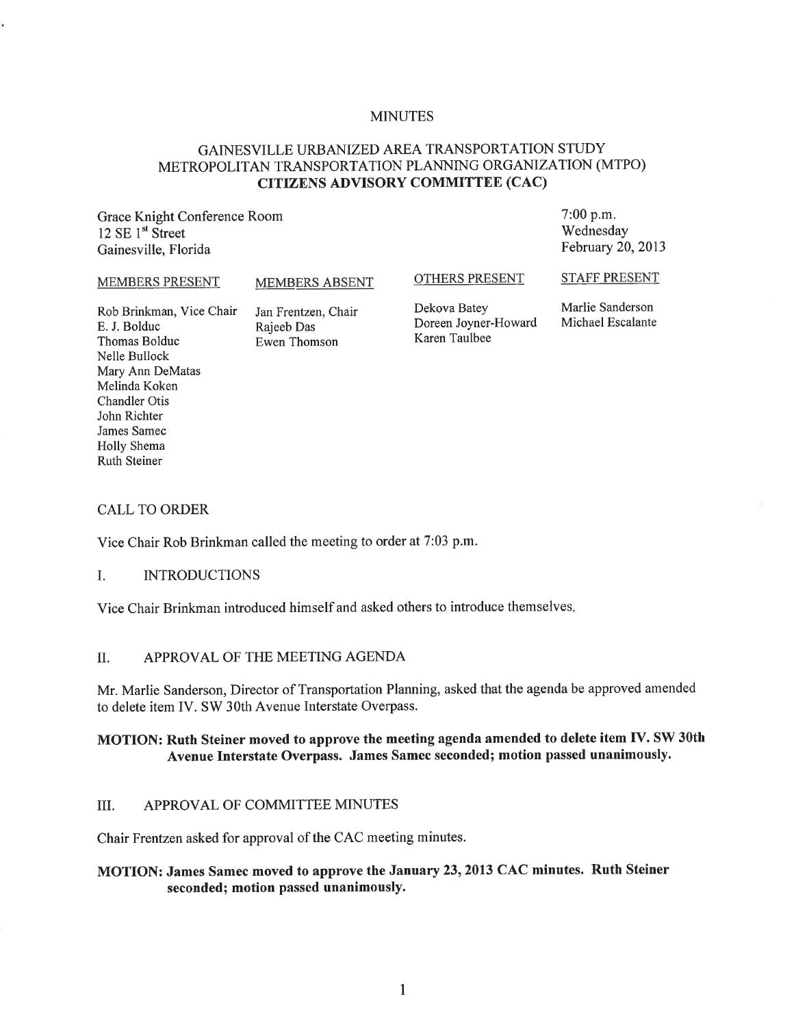### MINUTES

# GAINESVILLE URBANIZED AREA TRANSPORTATION STUDY METROPOLITAN TRANSPORTATION PLANNING ORGANIZATION (MTPO) CITIZENS ADVISORY COMMITTEE (CAC)

Grace Knight Conference Room 12 SE 1<sup>st</sup> Street Gainesville, Florida

7:00 p.m. Wednesday February 20, 2013

#### MEMBERS PRESENT

MEMBERS ABSENT

### OTHERS PRESENT

Dekova Batey Doreen Joyner-Howard Karen Taulbee

Marlie Sanderson Michael Escalante

STAFF PRESENT

Rob Brinkman, Vice Chair E. J. Bolduc Thomas Bolduc Nelle Bullock Mary Ann DeMatas Melinda Koken Chandler Otis John Richter James Samec Holly Shema Ruth Steiner

#### Jan Frentzen, Chair Rajeeb Das Ewen Thomson

### CALL TO ORDER

Vice Chair Rob Brinkman called the meeting to order at 7:03 p.m.

#### I. INTRODUCTIONS

Vice Chair Brinkman introduced himself and asked others to introduce themselves.

### II. APPROVAL OF THE MEETING AGENDA

Mr. Marlie Sanderson, Director of Transportation Planning, asked that the agenda be approved amended to delete item IV. SW 30th Avenue Interstate Overpass.

# MOTION: Ruth Steiner moved to approve the meeting agenda amended to delete item IV. SW 30th Avenue Interstate Overpass. James Samec seconded; motion passed unanimously.

### III. APPROVAL OF COMMITTEE MINUTES

Chair Frentzen asked for approval of the CAC meeting minutes.

# MOTION: James Samec moved to approve the January 23, 2013 CAC minutes. Ruth Steiner seconded; motion passed unanimously.